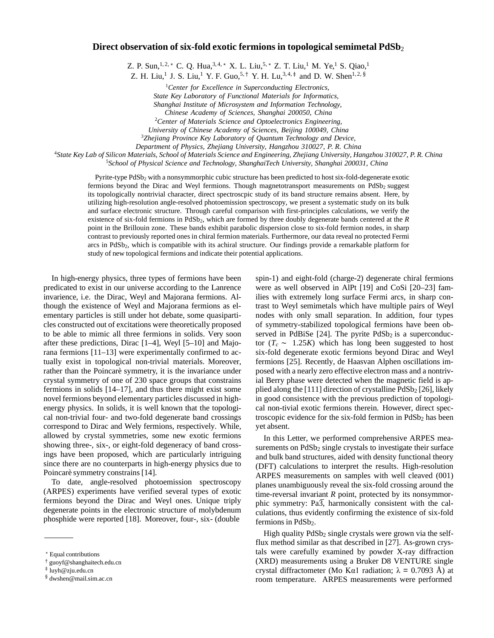## **Direct observation of six-fold exotic fermions in topological semimetal PdSb**<sup>2</sup>

Z. P. Sun,<sup>1,2,</sup> \* C. Q. Hua,<sup>3,4,</sup> \* X. L. Liu,<sup>5,</sup> \* Z. T. Liu,<sup>1</sup> M. Ye,<sup>1</sup> S. Qiao,<sup>1</sup>

Z. H. Liu,<sup>1</sup> J. S. Liu,<sup>1</sup> Y. F. Guo,<sup>5,†</sup> Y. H. Lu,<sup>3,4,‡</sup> and D. W. Shen<sup>1,2, §</sup>

1 *Center for Excellence in Superconducting Electronics, State Key Laboratory of Functional Materials for Informatics, Shanghai Institute of Microsystem and Information Technology, Chinese Academy of Sciences, Shanghai 200050, China*

2 *Center of Materials Science and Optoelectronics Engineering,*

*University of Chinese Academy of Sciences, Beijing 100049, China*

3 *Zhejiang Province Key Laboratory of Quantum Technology and Device,*

*Department of Physics, Zhejiang University, Hangzhou 310027, P. R. China* <sup>4</sup>

<sup>4</sup>State Key Lab of Silicon Materials, School of Materials Science and Engineering, Zhejiang University, Hangzhou 310027, P.R. China

5 *School of Physical Science and Technology, ShanghaiTech University, Shanghai 200031, China*

Pyrite-type PdSb<sub>2</sub> with a nonsymmorphic cubic structure has been predicted to host six-fold-degenerate exotic fermions beyond the Dirac and Weyl fermions. Though magnetotransport measurements on PdSb<sub>2</sub> suggest its topologically nontrivial character, direct spectroscpic study of its band structure remains absent. Here, by utilizing high-resolution angle-resolved photoemission spectroscopy, we present a systematic study on its bulk and surface electronic structure. Through careful comparison with first-principles calculations, we verify the existence of six-fold fermions in PdSb2, which are formed by three doubly degenerate bands centered at the *R* point in the Brillouin zone. These bands exhibit parabolic dispersion close to six-fold fermion nodes, in sharp contrast to previously reported ones in chiral fermion materials. Furthermore, our data reveal no protected Fermi arcs in PdSb2, which is compatible with its achiral structure. Our findings provide a remarkable platform for study of new topological fermions and indicate their potential applications.

In high-energy physics, three types of fermions have been predicated to exist in our universe according to the Lanrence invarience, i.e. the Dirac, Weyl and Majorana fermions. Although the existence of Weyl and Majorana fermions as elementary particles is still under hot debate, some quasiparticles constructed out of excitations were theoretically proposed to be able to mimic all three fermions in solids. Very soon after these predictions, Dirac [1–4], Weyl [5–10] and Majorana fermions [11–13] were experimentally confirmed to actually exist in topological non-trivial materials. Moreover, rather than the Poincarè symmetry, it is the invariance under crystal symmetry of one of 230 space groups that constrains fermions in solids [14–17], and thus there might exist some novel fermions beyond elementary particles discussed in highenergy physics. In solids, it is well known that the topological non-trivial four- and two-fold degenerate band crossings correspond to Dirac and Wely fermions, respectively. While, allowed by crystal symmetries, some new exotic fermions showing three-, six-, or eight-fold degeneracy of band crossings have been proposed, which are particularly intriguing since there are no counterparts in high-energy physics due to Poincarè symmetry constrains [14].

To date, angle-resolved photoemission spectroscopy (ARPES) experiments have verified several types of exotic fermions beyond the Dirac and Weyl ones. Unique triply degenerate points in the electronic structure of molybdenum phosphide were reported [18]. Moreover, four-, six- (double

spin-1) and eight-fold (charge-2) degenerate chiral fermions were as well observed in AlPt [19] and CoSi [20–23] families with extremely long surface Fermi arcs, in sharp contrast to Weyl semimetals which have multiple pairs of Weyl nodes with only small separation. In addition, four types of symmetry-stabilized topological fermions have been observed in PdBiSe  $[24]$ . The pyrite PdSb<sub>2</sub> is a superconductor  $(T_c \sim 1.25K)$  which has long been suggested to host six-fold degenerate exotic fermions beyond Dirac and Weyl fermions [25]. Recently, de Haasvan Alphen oscillations imposed with a nearly zero effective electron mass and a nontrivial Berry phase were detected when the magnetic field is applied along the  $[111]$  direction of crystalline  $PdSb<sub>2</sub>$   $[26]$ , likely in good consistence with the previous prediction of topological non-tivial exotic fermions therein. However, direct spectroscopic evidence for the six-fold fermion in  $PdSb<sub>2</sub>$  has been yet absent.

In this Letter, we performed comprehensive ARPES measurements on PdSb<sub>2</sub> single crystals to investigate their surface and bulk band structures, aided with density functional theory (DFT) calculations to interpret the results. High-resolution ARPES measurements on samples with well cleaved (001) planes unambiguously reveal the six-fold crossing around the time-reversal invariant *R* point, protected by its nonsymmorphic symmetry:  $Pa\overline{3}$ , harmonically consistent with the calculations, thus evidently confirming the existence of six-fold fermions in PdSb<sub>2</sub>.

High quality  $PdSb<sub>2</sub>$  single crystals were grown via the selfflux method similar as that described in [27]. As-grown crystals were carefully examined by powder X-ray diffraction (XRD) measurements using a Bruker D8 VENTURE single crystal diffractometer (Mo Kα1 radiation;  $\lambda = 0.7093$  Å) at room temperature. ARPES measurements were performed

<sup>∗</sup> Equal contributions

<sup>†</sup> [guo](mailto:guoyf@shanghaitech.edu.cn)[yf@shanghaitech.edu.cn](mailto:yf@shanghaitech.edu.cn)

<sup>‡</sup> [luyh@zju.edu.cn](mailto:luyh@zju.edu.cn)

<sup>§</sup> [dwshen@mail.sim.ac.cn](mailto:dwshen@mail.sim.ac.cn)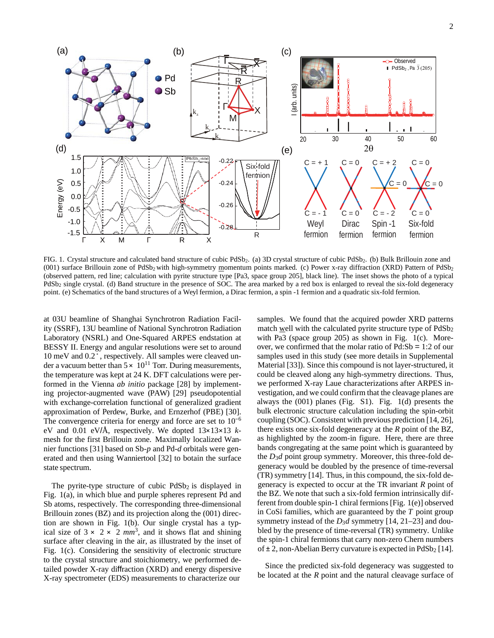

FIG. 1. Crystal structure and calculated band structure of cubic PdSb<sub>2</sub>. (a) 3D crystal structure of cubic PdSb<sub>2</sub>. (b) Bulk Brillouin zone and (001) surface Brillouin zone of PdSb<sub>2</sub> with high-symmetry momentum points marked. (c) Power x-ray diffraction (XRD) Pattern of PdSb<sub>2</sub> (observed pattern, red line; calculation with pyrite structure type [Pa3, space group 205], black line). The inset shows the photo of a typical PdSb2 single crystal. (d) Band structure in the presence of SOC. The area marked by a red box is enlarged to reveal the six-fold degeneracy point. (e) Schematics of the band structures of a Weyl fermion, a Dirac fermion, a spin -1 fermion and a quadratic six-fold fermion.

at 03U beamline of Shanghai Synchrotron Radiation Facility (SSRF), 13U beamline of National Synchrotron Radiation Laboratory (NSRL) and One-Squared ARPES endstation at BESSY II. Energy and angular resolutions were set to around 10 meV and 0.2◦, respectively. All samples were cleaved under a vacuum better than  $5 \times 10^{11}$  Torr. During measurements, the temperature was kept at 24 K. DFT calculations were performed in the Vienna *ab initio* package [28] by implementing projector-augmented wave (PAW) [29] pseudopotential with exchange-correlation functional of generalized gradient approximation of Perdew, Burke, and Ernzerhof (PBE) [30]. The convergence criteria for energy and force are set to  $10^{-6}$ eV and 0.01 eV/Å, respectively. We dopted 13×13×13 *k*mesh for the first Brillouin zone. Maximally localized Wannier functions [31] based on Sb-*p* and Pd-*d* orbitals were generated and then using Wanniertool [32] to botain the surface state spectrum.

The pyrite-type structure of cubic  $PdSb<sub>2</sub>$  is displayed in Fig. 1(a), in which blue and purple spheres represent Pd and Sb atoms, respectively. The corresponding three-dimensional Brillouin zones (BZ) and its projection along the (001) direction are shown in Fig. 1(b). Our single crystal has a typical size of  $3 \times 2 \times 2$  *mm*<sup>3</sup>, and it shows flat and shining surface after cleaving in the air, as illustrated by the inset of Fig. 1(c). Considering the sensitivity of electronic structure to the crystal structure and stoichiometry, we performed detailed powder X-ray diffraction (XRD) and energy dispersive X-ray spectrometer (EDS) measurements to characterize our

samples. We found that the acquired powder XRD patterns match well with the calculated pyrite structure type of PdSb<sub>2</sub> with Pa3 (space group 205) as shown in Fig. 1(c). Moreover, we confirmed that the molar ratio of Pd:Sb = 1:2 of our samples used in this study (see more details in Supplemental Material [33]). Since this compound is not layer-structured, it could be cleaved along any high-symmetry directions. Thus, we performed X-ray Laue characterizations after ARPES investigation, and we could confirm that the cleavage planes are always the (001) planes (Fig. S1). Fig. 1(d) presents the bulk electronic structure calculation including the spin-orbit coupling (SOC). Consistent with previous prediction [14, 26], there exists one six-fold degeneracy at the *R* point of the BZ, as highlighted by the zoom-in figure. Here, there are three bands congregating at the same point which is guaranteed by the *D*3*d* point group symmetry. Moreover, this three-fold degeneracy would be doubled by the presence of time-reversal (TR) symmetry [14]. Thus, in this compound, the six-fold degeneracy is expected to occur at the TR invariant *R* point of the BZ. We note that such a six-fold fermion intrinsically different from double spin-1 chiral fermions[Fig. 1(e)] observed in CoSi families, which are guaranteed by the *T* point group symmetry instead of the *D*<sub>3</sub>*d* symmetry [14, 21–23] and doubled by the presence of time-reversal (TR) symmetry. Unlike the spin-1 chiral fermions that carry non-zero Chern numbers of  $\pm 2$ , non-Abelian Berry curvature is expected in PdSb<sub>2</sub> [14].

Since the predicted six-fold degeneracy was suggested to be located at the *R* point and the natural cleavage surface of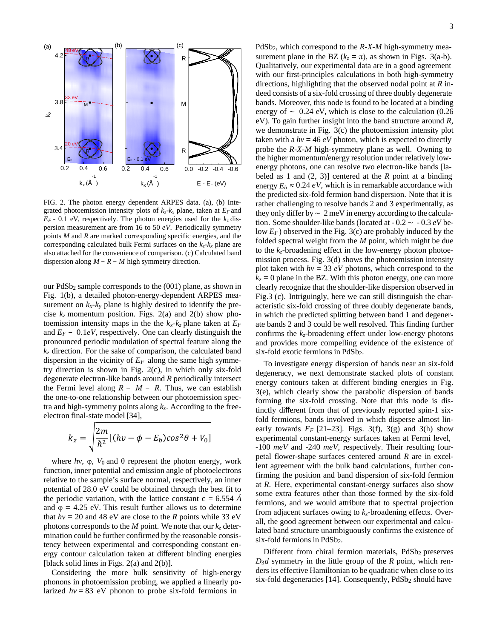

FIG. 2. The photon energy dependent ARPES data. (a), (b) Integrated photoemission intensity plots of  $k_z - k_x$  plane, taken at  $E_F$  and  $E_F$  - 0.1 eV, respectively. The photon energies used for the  $k_z$  dispersion measurement are from 16 to 50 *eV*. Periodically symmetry points *M* and *R* are marked corresponding specific energies, and the corresponding calculated bulk Fermi surfaces on the  $k_z - k_x$  plane are also attached for the convenience of comparison. (c) Calculated band dispersion along *M* − *R* − *M* high symmetry direction.

our PdSb2 sample corresponds to the (001) plane, as shown in Fig. 1(b), a detailed photon-energy-dependent ARPES measurement on  $k_x - k_y$  plane is highly desired to identify the precise  $k_z$  momentum position. Figs. 2(a) and 2(b) show photoemission intensity maps in the the  $k_x-k_z$  plane taken at  $E_F$ and  $E_F$  – 0.1*eV*, respectively. One can clearly distinguish the pronounced periodic modulation of spectral feature along the *kz* direction. For the sake of comparison, the calculated band dispersion in the vicinity of  $E_F$  along the same high symmetry direction is shown in Fig. 2(c), in which only six-fold degenerate electron-like bands around *R* periodically intersect the Fermi level along  $R - M - R$ . Thus, we can establish the one-to-one relationship between our photoemission spectra and high-symmetry points along  $k_z$ . According to the freeelectron final-state model [34],

$$
k_z = \sqrt{\frac{2m}{\hbar^2} [(hv - \phi - E_b) \cos^2 \theta + V_0]}
$$

where  $hv$ ,  $\varphi$ ,  $V_0$  and  $\theta$  represent the photon energy, work function, inner potential and emission angle of photoelectrons relative to the sample's surface normal, respectively, an inner potential of 28.0 eV could be obtained through the best fit to the periodic variation, with the lattice constant  $c = 6.554 \text{ Å}$ and  $\varphi = 4.25$  eV. This result further allows us to determine that  $hv = 20$  and 48 eV are close to the *R* points while 33 eV photons corresponds to the *M* point. We note that our  $k_z$  determination could be further confirmed by the reasonable consistency between experimental and corresponding constant energy contour calculation taken at different binding energies [black solid lines in Figs. 2(a) and 2(b)].

Considering the more bulk sensitivity of high-energy phonons in photoemission probing, we applied a linearly polarized  $hv = 83$  eV phonon to probe six-fold fermions in

R Surement plane in the BZ  $(k_z = \pi)$ , as shown in Figs. 3(a-b). Qualitatively, our experimental data are in a good agreement with our first-principles calculations in both high-symmetry directions, highlighting that the observed nodal point at *R* indeed consists of a six-fold crossing of three doubly degenerate  $M$  bands. Moreover, this node is found to be located at a binding energy of  $\sim 0.24$  eV, which is close to the calculation (0.26 eV). To gain further insight into the band structure around *R*, we demonstrate in Fig. 3(c) the photoemission intensity plot taken with a  $hv = 46 eV$  photon, which is expected to directly  $R \rightarrow \infty$  probe the *R-X-M* high-symmetry plane as well. Owning to the higher momentum/energy resolution under relatively low-0.0 -0.2 -0.4 -0.6 energy photons, one can resolve two electron-like bands [labeled as 1 and (2, 3)] centered at the *R* point at a binding  $k_x$  (Å )  $E - E_F (eV)$  energy  $E_b \approx 0.24 \, eV$ , which is in remarkable accordance with the predicted six-fold fermion band dispersion. Note that it is rather challenging to resolve bands 2 and 3 experimentally, as they only differ by ∼ 2 meV in energy according to the calculation. Some shoulder-like bands (located at - 0.2 ∼ - 0.3 *eV* below *EF*) observed in the Fig. 3(c) are probably induced by the folded spectral weight from the *M* point, which might be due to the *kz*-broadening effect in the low-energy photon photoemission process. Fig. 3(d) shows the photoemission intensity plot taken with  $hv = 33 eV$  photons, which correspond to the  $k_z$  = 0 plane in the BZ. With this photon energy, one can more clearly recognize that the shoulder-like dispersion observed in Fig.3 (c). Intriguingly, here we can still distinguish the characteristic six-fold crossing of three doubly degenerate bands, in which the predicted splitting between band 1 and degenerate bands 2 and 3 could be well resolved. This finding further confirms the *kz*-broadening effect under low-energy photons and provides more compelling evidence of the existence of six-fold exotic fermions in PdSb<sub>2</sub>.

> To investigate energy dispersion of bands near an six-fold degeneracy, we next demonstrate stacked plots of constant energy contours taken at different binding energies in Fig. 3(e), which clearly show the parabolic dispersion of bands forming the six-fold crossing. Note that this node is distinctly different from that of previously reported spin-1 sixfold fermions, bands involved in which disperse almost linearly towards  $E_F$  [21–23]. Figs. 3(f), 3(g) and 3(h) show experimental constant-energy surfaces taken at Fermi level, -100 *meV* and -240 *meV*, respectively. Their resulting fourpetal flower-shape surfaces centered around *R* are in excellent agreement with the bulk band calculations, further confirming the position and band dispersion of six-fold fermion at *R*. Here, experimental constant-energy surfaces also show some extra features other than those formed by the six-fold fermions, and we would attribute that to spectral projection from adjacent surfaces owing to *kz*-broadening effects. Overall, the good agreement between our experimental and calculated band structure unambiguously confirms the existence of six-fold fermions in PdSb<sub>2</sub>.

> Different from chiral fermion materials, PdSb<sub>2</sub> preserves *D*3*d* symmetry in the little group of the *R* point, which renders its effective Hamiltonian to be quadratic when close to its six-fold degeneracies [14]. Consequently,  $PdSb<sub>2</sub>$  should have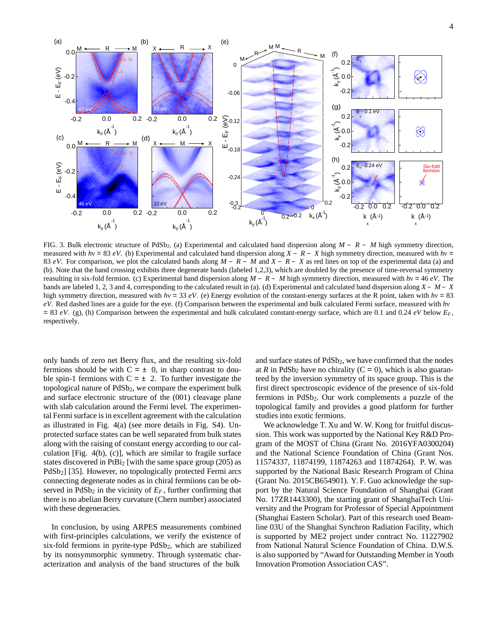

FIG. 3. Bulk electronic structure of PdSb2. (a) Experimental and calculated band dispersion along *M* − *R* − *M* high symmetry direction, measured with *h*ν = 83 *eV*. (b) Experimental and calculated band dispersion along *X* − *R* − *X* high symmetry direction, measured with *h*ν = 83 *eV*. For comparison, we plot the calculated bands along *M* − *R* − *M* and *X* − *R* − *X* as red lines on top of the experimental data (a) and (b). Note that the band crossing exhibits three degenerate bands (labeled 1,2,3), which are doubled by the presence of time-reversal symmetry reasulting in six-fold fermion. (c) Experimental band dispersion along *M* − *R* − *M* high symmetry direction, measured with *h*ν = 46 *eV*. The bands are labeled 1, 2, 3 and 4, corresponding to the calculated result in (a). (d) Experimental and calculated band dispersion along  $X - M - X$ high symmetry direction, measured with *h*ν = 33 *eV*. (e) Energy evolution of the constant-energy surfaces at the R point, taken with *h*ν = 83 *eV*. Red dashed lines are a guide for the eye. (f) Comparison between the experimental and bulk calculated Fermi surface, measured with *h*ν  $= 83$  *eV*. (g), (h) Comparison between the experimental and bulk calculated constant-energy surface, which are 0.1 and 0.24 *eV* below  $E_F$ , respectively.

only bands of zero net Berry flux, and the resulting six-fold fermions should be with  $C = \pm 0$ , in sharp contrast to double spin-1 fermions with  $C = \pm 2$ . To further investigate the topological nature of PdSb<sub>2</sub>, we compare the experiment bulk and surface electronic structure of the (001) cleavage plane with slab calculation around the Fermi level. The experimental Fermi surface is in excellent agreement with the calculation as illustrated in Fig. 4(a) (see more details in Fig. S4). Unprotected surface states can be well separated from bulk states along with the raising of constant energy according to our calculation [Fig. 4(b), (c)], which are similar to fragile surface states discovered in PtBi2 [with the same space group (205) as PdSb<sub>2</sub>] [35]. However, no topologically protected Fermi arcs connecting degenerate nodes as in chiral fermiions can be observed in  $PdSb<sub>2</sub>$  in the vicinity of  $E<sub>F</sub>$ , further confirming that there is no abelian Berry curvature (Chern number) associated with these degeneracies.

In conclusion, by using ARPES measurements combined with first-principles calculations, we verify the existence of six-fold fermions in pyrite-type PdSb2, which are stabilized by its nonsymmorphic symmetry. Through systematic characterization and analysis of the band structures of the bulk

and surface states of PdSb<sub>2</sub>, we have confirmed that the nodes at *R* in PdSb<sub>2</sub> have no chirality  $(C = 0)$ , which is also guaranteed by the inversion symmetry of its space group. This is the first direct spectroscopic evidence of the presence of six-fold fermions in PdSb2. Our work complements a puzzle of the topological family and provides a good platform for further studies into exotic fermions.

We acknowledge T. Xu and W. W. Kong for fruitful discussion. This work was supported by the National Key R&D Program of the MOST of China (Grant No. 2016YFA0300204) and the National Science Foundation of China (Grant Nos. 11574337, 11874199, 11874263 and 11874264). P. W. was supported by the National Basic Research Program of China (Grant No. 2015CB654901). Y. F. Guo acknowledge the support by the Natural Science Foundation of Shanghai (Grant No. 17ZR1443300), the starting grant of ShanghaiTech University and the Program for Professor of Special Appointment (Shanghai Eastern Scholar). Part of this research used Beamline 03U of the Shanghai Synchron Radiation Facility, which is supported by ME2 project under contract No. 11227902 from National Natural Science Foundation of China. D.W.S. is also supported by "Award for Outstanding Member in Youth Innovation Promotion Association CAS".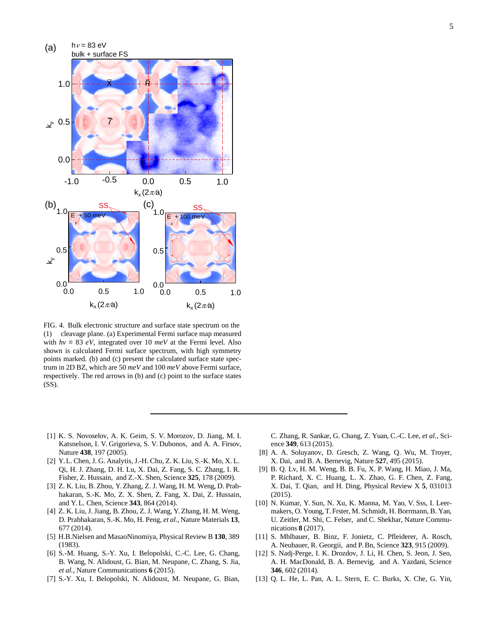

FIG. 4. Bulk electronic structure and surface state spectrum on the (1) cleavage plane. (a) Experimental Fermi surface map measured with  $hv = 83 eV$ , integrated over 10  $meV$  at the Fermi level. Also shown is calculated Fermi surface spectrum, with high symmetry points marked. (b) and (c) present the calculated surface state spectrum in 2D BZ, which are 50 *meV* and 100 *meV* above Fermi surface, respectively. The red arrows in (b) and (c) point to the surface states (SS).

- [1] K. S. Novoselov, A. K. Geim, S. V. Morozov, D. Jiang, M. I. Katsnelson, I. V. Grigorieva, S. V. Dubonos, and A. A. Firsov, Nature **438**, 197 (2005).
- [2] Y.L. Chen, J. G. Analytis, J.-H. Chu, Z. K. Liu, S.-K. Mo, X. L. Qi, H. J. Zhang, D. H. Lu, X. Dai, Z. Fang, S. C. Zhang, I. R. Fisher, Z. Hussain, and Z.-X. Shen, Science **325**, 178 (2009).
- [3] Z. K. Liu, B. Zhou, Y.Zhang, Z. J. Wang, H. M. Weng, D. Prabhakaran, S.-K. Mo, Z. X. Shen, Z. Fang, X. Dai, Z. Hussain, and Y.L. Chen, Science **343**, 864 (2014).
- [4] Z. K. Liu, J. Jiang, B. Zhou, Z. J. Wang, Y.Zhang, H. M. Weng, D. Prabhakaran, S.-K. Mo, H. Peng, *et al.*, Nature Materials **13**, 677 (2014).
- [5] H.B.Nielsen and MasaoNinomiya, Physical Review B **130**, 389 (1983).
- [6] S.-M. Huang, S.-Y. Xu, I. Belopolski, C.-C. Lee, G. Chang, B. Wang, N. Alidoust, G. Bian, M. Neupane, C. Zhang, S. Jia, *et al.*, Nature Communications **6** (2015).
- [7] S.-Y. Xu, I. Belopolski, N. Alidoust, M. Neupane, G. Bian,

C. Zhang, R. Sankar, G. Chang, Z. Yuan, C.-C. Lee, *et al.*, Science **349**, 613 (2015).

- [8] A. A. Soluyanov, D. Gresch, Z. Wang, Q. Wu, M. Troyer, X. Dai, and B. A. Bernevig, Nature **527**, 495 (2015).
- [9] B. Q. Lv, H. M. Weng, B. B. Fu, X. P. Wang, H. Miao, J. Ma, P. Richard, X. C. Huang, L. X. Zhao, G. F. Chen, Z. Fang, X. Dai, T. Qian, and H. Ding, Physical Review X **5**, 031013 (2015).
- [10] N. Kumar, Y. Sun, N. Xu, K. Manna, M. Yao, V. Sss, I. Leermakers, O. Young, T. Frster, M. Schmidt, H. Borrmann, B. Yan, U. Zeitler, M. Shi, C. Felser, and C. Shekhar, Nature Communications **8** (2017).
- [11] S. Mhlbauer, B. Binz, F. Jonietz, C. Pfleiderer, A. Rosch, A. Neubauer, R. Georgii, and P.Bn, Science **323**, 915 (2009).
- [12] S. Nadj-Perge, I. K. Drozdov, J. Li, H. Chen, S. Jeon, J. Seo, A. H. MacDonald, B. A. Bernevig, and A. Yazdani, Science **346**, 602 (2014).
- [13] Q. L. He, L. Pan, A. L. Stern, E. C. Burks, X. Che, G. Yin,